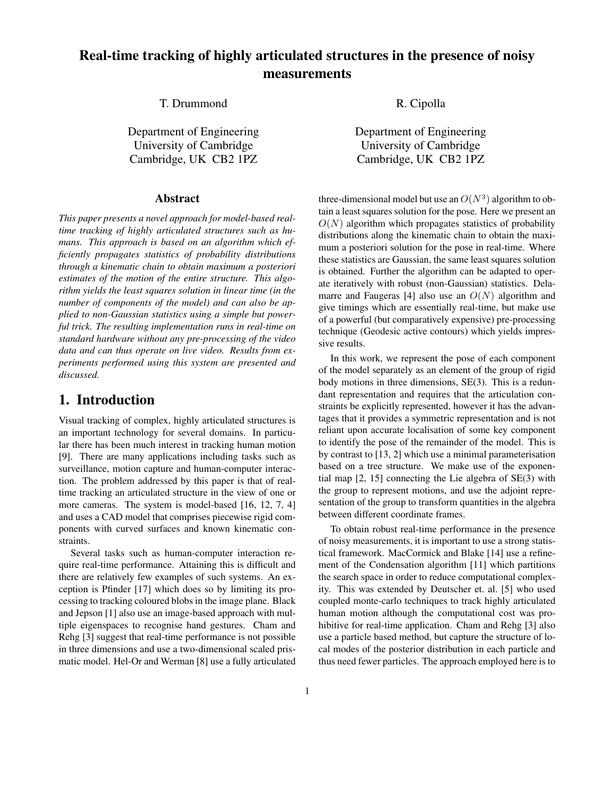# **Real-time tracking of highly articulated structures in the presence of noisy measurements**

T. Drummond R. Cipolla

Department of Engineering Department of Engineering

#### **Abstract**

*This paper presents a novel approach for model-based realtime tracking of highly articulated structures such as humans. This approach is based on an algorithm which efficiently propagates statistics of probability distributions through a kinematic chain to obtain maximum a posteriori estimates of the motion of the entire structure. This algorithm yields the least squares solution in linear time (in the number of components of the model) and can also be applied to non-Gaussian statistics using a simple but powerful trick. The resulting implementation runs in real-time on standard hardware without any pre-processing of the video data and can thus operate on live video. Results from experiments performed using this system are presented and discussed.*

# **1. Introduction**

Visual tracking of complex, highly articulated structures is an important technology for several domains. In particular there has been much interest in tracking human motion [9]. There are many applications including tasks such as surveillance, motion capture and human-computer interaction. The problem addressed by this paper is that of realtime tracking an articulated structure in the view of one or more cameras. The system is model-based [16, 12, 7, 4] and uses a CAD model that comprises piecewise rigid components with curved surfaces and known kinematic constraints.

Several tasks such as human-computer interaction require real-time performance. Attaining this is difficult and there are relatively few examples of such systems. An exception is Pfinder [17] which does so by limiting its processing to tracking coloured blobs in the image plane. Black and Jepson [1] also use an image-based approach with multiple eigenspaces to recognise hand gestures. Cham and Rehg [3] suggest that real-time performance is not possible in three dimensions and use a two-dimensional scaled prismatic model. Hel-Or and Werman [8] use a fully articulated

University of Cambridge University of Cambridge Cambridge, UK CB2 1PZ Cambridge, UK CB2 1PZ

> three-dimensional model but use an  $O(N^3)$  algorithm to obtain a least squares solution for the pose. Here we present an  $O(N)$  algorithm which propagates statistics of probability distributions along the kinematic chain to obtain the maximum a posteriori solution for the pose in real-time. Where these statistics are Gaussian, the same least squares solution is obtained. Further the algorithm can be adapted to operate iteratively with robust (non-Gaussian) statistics. Delamarre and Faugeras [4] also use an  $O(N)$  algorithm and give timings which are essentially real-time, but make use of a powerful (but comparatively expensive) pre-processing technique (Geodesic active contours) which yields impressive results.

> In this work, we represent the pose of each component of the model separately as an element of the group of rigid body motions in three dimensions, SE(3). This is a redundant representation and requires that the articulation constraints be explicitly represented, however it has the advantages that it provides a symmetric representation and is not reliant upon accurate localisation of some key component to identify the pose of the remainder of the model. This is by contrast to [13, 2] which use a minimal parameterisation based on a tree structure. We make use of the exponential map [2, 15] connecting the Lie algebra of SE(3) with the group to represent motions, and use the adjoint representation of the group to transform quantities in the algebra between different coordinate frames.

> To obtain robust real-time performance in the presence of noisy measurements, it is important to use a strong statistical framework. MacCormick and Blake [14] use a refinement of the Condensation algorithm [11] which partitions the search space in order to reduce computational complexity. This was extended by Deutscher et. al. [5] who used coupled monte-carlo techniques to track highly articulated human motion although the computational cost was prohibitive for real-time application. Cham and Rehg [3] also use a particle based method, but capture the structure of local modes of the posterior distribution in each particle and thus need fewer particles. The approach employed here is to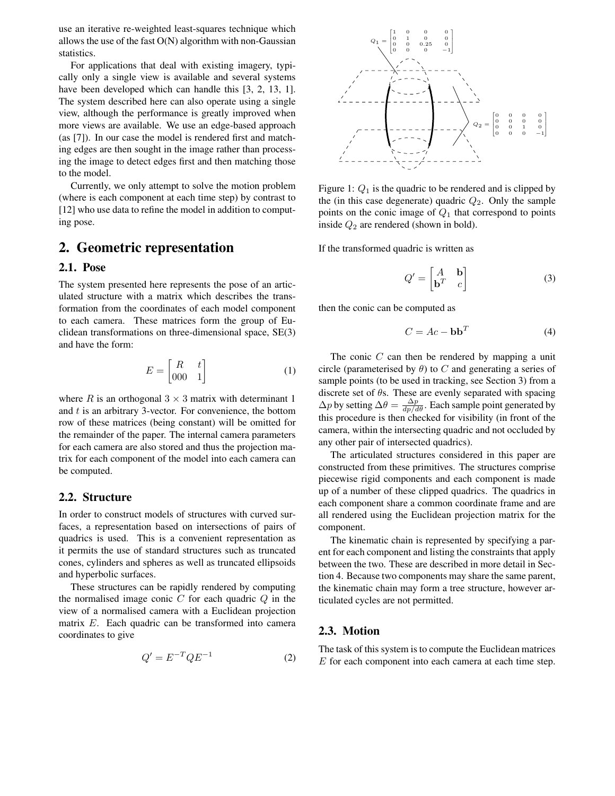use an iterative re-weighted least-squares technique which allows the use of the fast  $O(N)$  algorithm with non-Gaussian statistics.

For applications that deal with existing imagery, typically only a single view is available and several systems have been developed which can handle this [3, 2, 13, 1]. The system described here can also operate using a single view, although the performance is greatly improre and replacements more views are available. We use an edge-based approach (as [7]). In our case the model is rendered first and matching edges are then sought in the image rather than processing the image to detect edges first and then matching those to the model.

Currently, we only attempt to solve the motion problem (where is each component at each time step) by contrast to [12] who use data to refine the model in addition to computing pose.

# **2. Geometric representation**

### **2.1. Pose**

The system presented here represents the pose of an articulated structure with a matrix which describes the transformation from the coordinates of each model component to each camera. These matrices form the group of Euclidean transformations on three-dimensional space, SE(3) and have the form:

$$
E = \begin{bmatrix} R & t \\ 000 & 1 \end{bmatrix} \tag{1}
$$

where R is an orthogonal  $3 \times 3$  matrix with determinant 1 and  $t$  is an arbitrary 3-vector. For convenience, the bottom row of these matrices (being constant) will be omitted for the remainder of the paper. The internal camera parameters for each camera are also stored and thus the projection matrix for each component of the model into each camera can be computed.

### **2.2. Structure**

In order to construct models of structures with curved surfaces, a representation based on intersections of pairs of quadrics is used. This is a convenient representation as it permits the use of standard structures such as truncated cones, cylinders and spheres as well as truncated ellipsoids and hyperbolic surfaces.

These structures can be rapidly rendered by computing the normalised image conic  $C$  for each quadric  $Q$  in the view of a normalised camera with a Euclidean projection matrix E. Each quadric can be transformed into camera coordinates to give

$$
Q' = E^{-T} Q E^{-1} \tag{2}
$$



Figure 1:  $Q_1$  is the quadric to be rendered and is clipped by the (in this case degenerate) quadric  $Q_2$ . Only the sample points on the conic image of  $Q_1$  that correspond to points inside  $Q_2$  are rendered (shown in bold).

If the transformed quadric is written as

$$
Q' = \begin{bmatrix} A & \mathbf{b} \\ \mathbf{b}^T & c \end{bmatrix}
$$
 (3)

then the conic can be computed as

$$
C = Ac - \mathbf{bb}^T \tag{4}
$$

The conic  $C$  can then be rendered by mapping a unit circle (parameterised by  $\theta$ ) to C and generating a series of sample points (to be used in tracking, see Section 3) from a discrete set of  $\theta$ s. These are evenly separated with spacing  $\Delta p$  by setting  $\Delta \theta = \frac{\Delta p}{dp/d\theta}$ . Each sample point generated by this procedure is then checked for visibility (in front of the camera, within the intersecting quadric and not occluded by any other pair of intersected quadrics).

The articulated structures considered in this paper are constructed from these primitives. The structures comprise piecewise rigid components and each component is made up of a number of these clipped quadrics. The quadrics in each component share a common coordinate frame and are all rendered using the Euclidean projection matrix for the component.

The kinematic chain is represented by specifying a parent for each component and listing the constraints that apply between the two. These are described in more detail in Section 4. Because two components may share the same parent, the kinematic chain may form a tree structure, however articulated cycles are not permitted.

#### **2.3. Motion**

The task of this system is to compute the Euclidean matrices E for each component into each camera at each time step.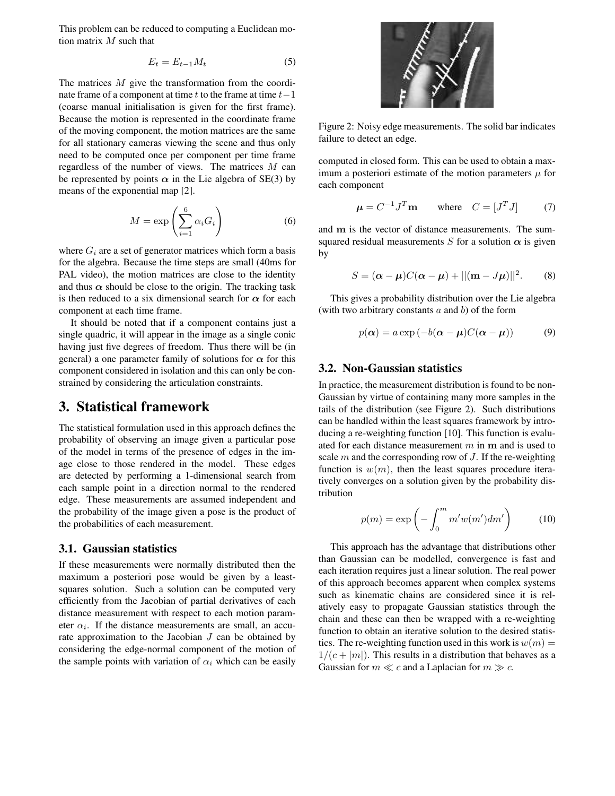This problem can be reduced to computing a Euclidean motion matrix  $M$  such that

$$
E_t = E_{t-1} M_t \tag{5}
$$

The matrices  $M$  give the transformation from the coordinate frame of a component at time t to the frame at time  $t-1$ (coarse manual initialisation is given for the first frame). Because the motion is represented in the coordinate frame of the moving component, the motion matrices are the same for all stationary cameras viewing the scene and thus only need to be computed once per component per time frame regardless of the number of views. The matrices M can be represented by points  $\alpha$  in the Lie algebra of SE(3) by means of the exponential map [2].

$$
M = \exp\left(\sum_{i=1}^{6} \alpha_i G_i\right) \tag{6}
$$

where  $G_i$  are a set of generator matrices which form a basis for the algebra. Because the time steps are small (40ms for PAL video), the motion matrices are close to the identity and thus  $\alpha$  should be close to the origin. The tracking task is then reduced to a six dimensional search for  $\alpha$  for each component at each time frame.

It should be noted that if a component contains just a single quadric, it will appear in the image as a single conic having just five degrees of freedom. Thus there will be (in general) a one parameter family of solutions for  $\alpha$  for this component considered in isolation and this can only be constrained by considering the articulation constraints.

### **3. Statistical framework**

The statistical formulation used in this approach defines the probability of observing an image given a particular pose of the model in terms of the presence of edges in the image close to those rendered in the model. These edges are detected by performing a 1-dimensional search from each sample point in a direction normal to the rendered edge. These measurements are assumed independent and the probability of the image given a pose is the product of the probabilities of each measurement.

### **3.1. Gaussian statistics**

If these measurements were normally distributed then the maximum a posteriori pose would be given by a leastsquares solution. Such a solution can be computed very efficiently from the Jacobian of partial derivatives of each distance measurement with respect to each motion parameter  $\alpha_i$ . If the distance measurements are small, an accurate approximation to the Jacobian  $J$  can be obtained by considering the edge-normal component of the motion of the sample points with variation of  $\alpha_i$  which can be easily



Figure 2: Noisy edge measurements. The solid bar indicates failure to detect an edge.

computed in closed form. This can be used to obtain a maximum a posteriori estimate of the motion parameters  $\mu$  for each component

$$
\mu = C^{-1}J^T \mathbf{m} \quad \text{where} \quad C = [J^T J] \quad (7)
$$

and m is the vector of distance measurements. The sumsquared residual measurements S for a solution  $\alpha$  is given by

$$
S = (\boldsymbol{\alpha} - \boldsymbol{\mu})C(\boldsymbol{\alpha} - \boldsymbol{\mu}) + ||(\mathbf{m} - J\boldsymbol{\mu})||^2.
$$
 (8)

This gives a probability distribution over the Lie algebra (with two arbitrary constants  $a$  and  $b$ ) of the form

$$
p(\alpha) = a \exp(-b(\alpha - \mu)C(\alpha - \mu))
$$
 (9)

### **3.2. Non-Gaussian statistics**

In practice, the measurement distribution is found to be non-Gaussian by virtue of containing many more samples in the tails of the distribution (see Figure 2). Such distributions can be handled within the least squares framework by introducing a re-weighting function [10]. This function is evaluated for each distance measurement  $m$  in  $m$  and is used to scale  $m$  and the corresponding row of  $J$ . If the re-weighting function is  $w(m)$ , then the least squares procedure iteratively converges on a solution given by the probability distribution

$$
p(m) = \exp\left(-\int_0^m m'w(m')dm'\right) \tag{10}
$$

This approach has the advantage that distributions other than Gaussian can be modelled, convergence is fast and each iteration requires just a linear solution. The real power of this approach becomes apparent when complex systems such as kinematic chains are considered since it is relatively easy to propagate Gaussian statistics through the chain and these can then be wrapped with a re-weighting function to obtain an iterative solution to the desired statistics. The re-weighting function used in this work is  $w(m) =$  $1/(c + |m|)$ . This results in a distribution that behaves as a Gaussian for  $m \ll c$  and a Laplacian for  $m \gg c$ .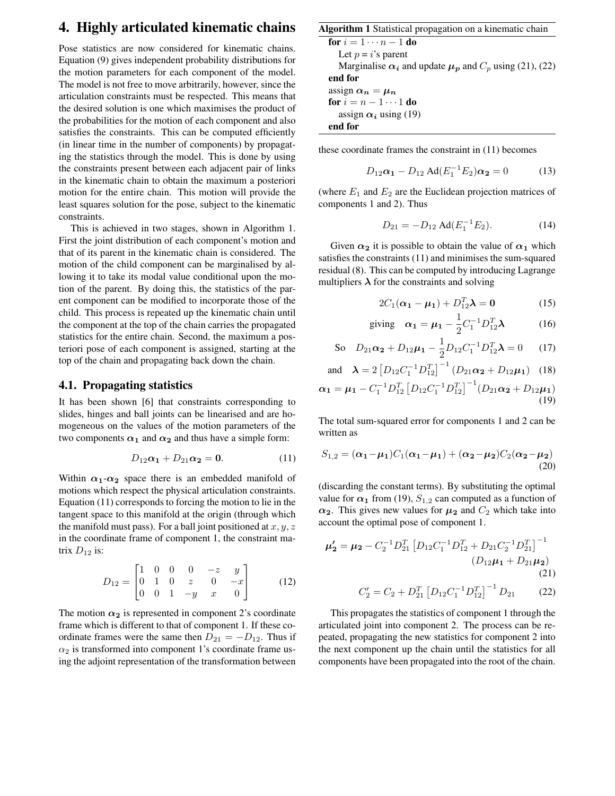# **4. Highly articulated kinematic chains**

Pose statistics are now considered for kinematic chains. Equation (9) gives independent probability distributions for the motion parameters for each component of the model. The model is not free to move arbitrarily, however, since the articulation constraints must be respected. This means that the desired solution is one which maximises the product of the probabilities for the motion of each component and also satisfies the constraints. This can be computed efficiently (in linear time in the number of components) by propagating the statistics through the model. This is done by using the constraints present between each adjacent pair of links in the kinematic chain to obtain the maximum a posteriori motion for the entire chain. This motion will provide the least squares solution for the pose, subject to the kinematic constraints.

This is achieved in two stages, shown in Algorithm 1. First the joint distribution of each component's motion and that of its parent in the kinematic chain is considered. The motion of the child component can be marginalised by allowing it to take its modal value conditional upon the motion of the parent. By doing this, the statistics of the parent component can be modified to incorporate those of the child. This process is repeated up the kinematic chain until the component at the top of the chain carries the propagated statistics for the entire chain. Second, the maximum a posteriori pose of each component is assigned, starting at the top of the chain and propagating back down the chain.

### **4.1. Propagating statistics**

It has been shown [6] that constraints corresponding to slides, hinges and ball joints can be linearised and are homogeneous on the values of the motion parameters of the two components  $\alpha_1$  and  $\alpha_2$  and thus have a simple form:

$$
D_{12}\alpha_1 + D_{21}\alpha_2 = 0. \qquad (11)
$$

Within  $\alpha_1-\alpha_2$  space there is an embedded manifold of motions which respect the physical articulation constraints. Equation (11) corresponds to forcing the motion to lie in the tangent space to this manifold at the origin (through which the manifold must pass). For a ball joint positioned at  $x, y, z$ in the coordinate frame of component 1, the constraint matrix  $D_{12}$  is:

$$
D_{12} = \begin{bmatrix} 1 & 0 & 0 & 0 & -z & y \\ 0 & 1 & 0 & z & 0 & -x \\ 0 & 0 & 1 & -y & x & 0 \end{bmatrix}
$$
 (12)

The motion  $\alpha_2$  is represented in component 2's coordinate frame which is different to that of component 1. If these coordinate frames were the same then  $D_{21} = -D_{12}$ . Thus if  $\alpha_2$  is transformed into component 1's coordinate frame using the adjoint representation of the transformation between

#### **Algorithm 1** Statistical propagation on a kinematic chain

**for**  $i = 1 \cdots n - 1$  **do** Let  $p = i$ 's parent Marginalise  $\alpha_i$  and update  $\mu_p$  and  $C_p$  using (21), (22) **end for** assign  $\alpha_n = \mu_n$ **for**  $i = n - 1 \cdots 1$  **do** assign  $\alpha_i$  using (19)

**end for**

these coordinate frames the constraint in (11) becomes

$$
D_{12}\alpha_1 - D_{12} \text{Ad}(E_1^{-1}E_2)\alpha_2 = 0 \tag{13}
$$

(where  $E_1$  and  $E_2$  are the Euclidean projection matrices of components 1 and 2). Thus

$$
D_{21} = -D_{12} \operatorname{Ad}(E_1^{-1} E_2). \tag{14}
$$

Given  $\alpha_2$  it is possible to obtain the value of  $\alpha_1$  which satisfies the constraints (11) and minimises the sum-squared residual (8). This can be computed by introducing Lagrange multipliers  $\lambda$  for the constraints and solving

$$
2C_1(\boldsymbol{\alpha_1} - \boldsymbol{\mu_1}) + D_{12}^T \boldsymbol{\lambda} = \mathbf{0}
$$
 (15)

giving 
$$
\alpha_1 = \mu_1 - \frac{1}{2} C_1^{-1} D_{12}^T \lambda
$$
 (16)

So 
$$
D_{21}\alpha_2 + D_{12}\mu_1 - \frac{1}{2}D_{12}C_1^{-1}D_{12}^T\lambda = 0
$$
 (17)

and 
$$
\lambda = 2 \left[ D_{12} C_1^{-1} D_{12}^T \right]^{-1} \left( D_{21} \alpha_2 + D_{12} \mu_1 \right)
$$
 (18)

$$
\boldsymbol{\alpha_1} = \boldsymbol{\mu_1} - C_1^{-1} D_{12}^T \left[ D_{12} C_1^{-1} D_{12}^T \right]^{-1} (D_{21} \boldsymbol{\alpha_2} + D_{12} \boldsymbol{\mu_1}) \tag{19}
$$

The total sum-squared error for components 1 and 2 can be written as

$$
S_{1,2} = (\alpha_1 - \mu_1)C_1(\alpha_1 - \mu_1) + (\alpha_2 - \mu_2)C_2(\alpha_2 - \mu_2)
$$
\n(20)

(discarding the constant terms). By substituting the optimal value for  $\alpha_1$  from (19),  $S_{1,2}$  can computed as a function of  $\alpha_2$ . This gives new values for  $\mu_2$  and  $C_2$  which take into account the optimal pose of component 1.

$$
\mu_2' = \mu_2 - C_2^{-1} D_{21}^T \left[ D_{12} C_1^{-1} D_{12}^T + D_{21} C_2^{-1} D_{21}^T \right]^{-1}
$$
  
\n
$$
(D_{12}\mu_1 + D_{21}\mu_2)
$$
  
\n(21)

$$
C_2' = C_2 + D_{21}^T \left[ D_{12} C_1^{-1} D_{12}^T \right]^{-1} D_{21}
$$
 (22)

This propagates the statistics of component 1 through the articulated joint into component 2. The process can be repeated, propagating the new statistics for component 2 into the next component up the chain until the statistics for all components have been propagated into the root of the chain.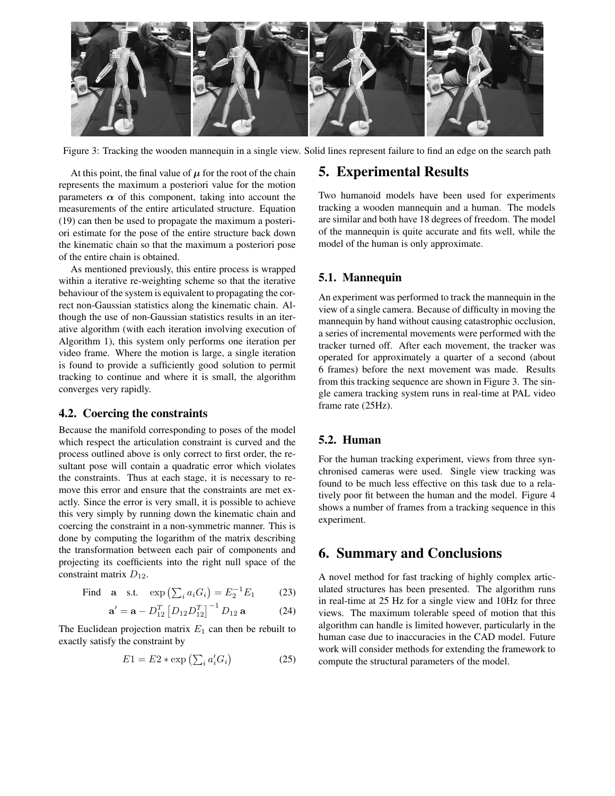

Figure 3: Tracking the wooden mannequin in a single view. Solid lines represent failure to find an edge on the search path

At this point, the final value of  $\mu$  for the root of the chain represents the maximum a posteriori value for the motion parameters  $\alpha$  of this component, taking into account the measurements of the entire articulated structure. Equation (19) can then be used to propagate the maximum a posteriori estimate for the pose of the entire structure back down the kinematic chain so that the maximum a posteriori pose of the entire chain is obtained.

As mentioned previously, this entire process is wrapped within a iterative re-weighting scheme so that the iterative behaviour of the system is equivalent to propagating the correct non-Gaussian statistics along the kinematic chain. Although the use of non-Gaussian statistics results in an iterative algorithm (with each iteration involving execution of Algorithm 1), this system only performs one iteration per video frame. Where the motion is large, a single iteration is found to provide a sufficiently good solution to permit tracking to continue and where it is small, the algorithm converges very rapidly.

### **4.2. Coercing the constraints**

Because the manifold corresponding to poses of the model which respect the articulation constraint is curved and the process outlined above is only correct to first order, the resultant pose will contain a quadratic error which violates the constraints. Thus at each stage, it is necessary to remove this error and ensure that the constraints are met exactly. Since the error is very small, it is possible to achieve this very simply by running down the kinematic chain and coercing the constraint in a non-symmetric manner. This is done by computing the logarithm of the matrix describing the transformation between each pair of components and projecting its coefficients into the right null space of the constraint matrix  $D_{12}$ .

Find **a** s.t. 
$$
\exp\left(\sum_{i} a_{i} G_{i}\right) = E_{2}^{-1} E_{1}
$$
 (23)

$$
\mathbf{a}' = \mathbf{a} - D_{12}^T \left[ D_{12} D_{12}^T \right]^{-1} D_{12} \mathbf{a}
$$
 (24)

The Euclidean projection matrix  $E_1$  can then be rebuilt to exactly satisfy the constraint by

$$
E1 = E2 * \exp\left(\sum_{i} a_i' G_i\right) \tag{25}
$$

## **5. Experimental Results**

Two humanoid models have been used for experiments tracking a wooden mannequin and a human. The models are similar and both have 18 degrees of freedom. The model of the mannequin is quite accurate and fits well, while the model of the human is only approximate.

### **5.1. Mannequin**

An experiment was performed to track the mannequin in the view of a single camera. Because of difficulty in moving the mannequin by hand without causing catastrophic occlusion, a series of incremental movements were performed with the tracker turned off. After each movement, the tracker was operated for approximately a quarter of a second (about 6 frames) before the next movement was made. Results from this tracking sequence are shown in Figure 3. The single camera tracking system runs in real-time at PAL video frame rate (25Hz).

### **5.2. Human**

For the human tracking experiment, views from three synchronised cameras were used. Single view tracking was found to be much less effective on this task due to a relatively poor fit between the human and the model. Figure 4 shows a number of frames from a tracking sequence in this experiment.

### **6. Summary and Conclusions**

A novel method for fast tracking of highly complex articulated structures has been presented. The algorithm runs in real-time at 25 Hz for a single view and 10Hz for three views. The maximum tolerable speed of motion that this algorithm can handle is limited however, particularly in the human case due to inaccuracies in the CAD model. Future work will consider methods for extending the framework to compute the structural parameters of the model.